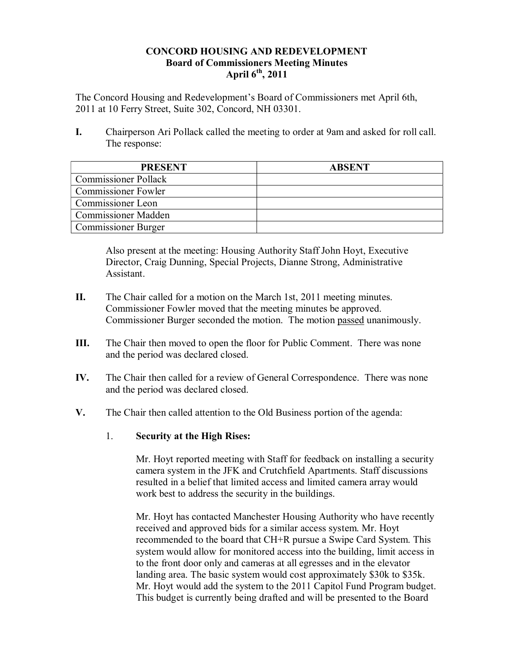#### **CONCORD HOUSING AND REDEVELOPMENT Board of Commissioners Meeting Minutes April 6th, 2011**

The Concord Housing and Redevelopment's Board of Commissioners met April 6th, 2011 at 10 Ferry Street, Suite 302, Concord, NH 03301.

**I.** Chairperson Ari Pollack called the meeting to order at 9am and asked for roll call. The response:

| <b>PRESENT</b>              | <b>ABSENT</b> |
|-----------------------------|---------------|
| <b>Commissioner Pollack</b> |               |
| <b>Commissioner Fowler</b>  |               |
| Commissioner Leon           |               |
| <b>Commissioner Madden</b>  |               |
| <b>Commissioner Burger</b>  |               |

Also present at the meeting: Housing Authority Staff John Hoyt, Executive Director, Craig Dunning, Special Projects, Dianne Strong, Administrative Assistant.

- **II.** The Chair called for a motion on the March 1st, 2011 meeting minutes. Commissioner Fowler moved that the meeting minutes be approved. Commissioner Burger seconded the motion. The motion passed unanimously.
- **III.** The Chair then moved to open the floor for Public Comment. There was none and the period was declared closed.
- **IV.** The Chair then called for a review of General Correspondence. There was none and the period was declared closed.
- **V.** The Chair then called attention to the Old Business portion of the agenda:
	- 1. **Security at the High Rises:**

Mr. Hoyt reported meeting with Staff for feedback on installing a security camera system in the JFK and Crutchfield Apartments. Staff discussions resulted in a belief that limited access and limited camera array would work best to address the security in the buildings.

Mr. Hoyt has contacted Manchester Housing Authority who have recently received and approved bids for a similar access system. Mr. Hoyt recommended to the board that CH+R pursue a Swipe Card System. This system would allow for monitored access into the building, limit access in to the front door only and cameras at all egresses and in the elevator landing area. The basic system would cost approximately \$30k to \$35k. Mr. Hoyt would add the system to the 2011 Capitol Fund Program budget. This budget is currently being drafted and will be presented to the Board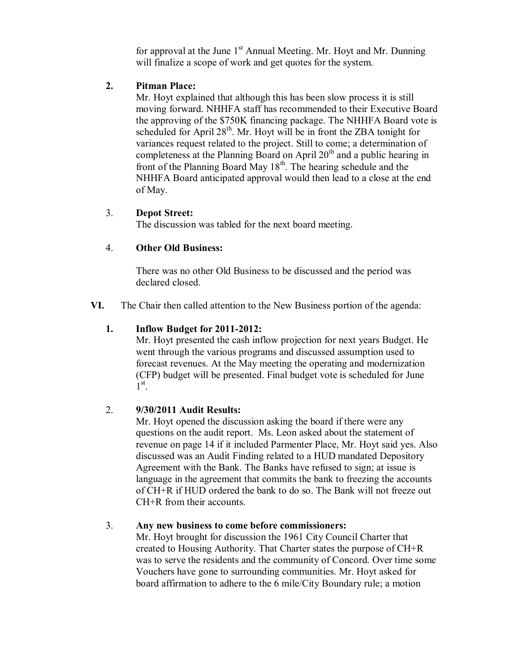for approval at the June  $1<sup>st</sup>$  Annual Meeting. Mr. Hoyt and Mr. Dunning will finalize a scope of work and get quotes for the system.

#### **2. Pitman Place:**

Mr. Hoyt explained that although this has been slow process it is still moving forward. NHHFA staff has recommended to their Executive Board the approving of the \$750K financing package. The NHHFA Board vote is scheduled for April  $28<sup>th</sup>$ . Mr. Hoyt will be in front the ZBA tonight for variances request related to the project. Still to come; a determination of completeness at the Planning Board on April  $20<sup>th</sup>$  and a public hearing in front of the Planning Board May  $18<sup>th</sup>$ . The hearing schedule and the NHHFA Board anticipated approval would then lead to a close at the end of May.

#### 3. **Depot Street:**

The discussion was tabled for the next board meeting.

## 4. **Other Old Business:**

There was no other Old Business to be discussed and the period was declared closed.

**VI.** The Chair then called attention to the New Business portion of the agenda:

# **1. Inflow Budget for 2011-2012:**

Mr. Hoyt presented the cash inflow projection for next years Budget. He went through the various programs and discussed assumption used to forecast revenues. At the May meeting the operating and modernization (CFP) budget will be presented. Final budget vote is scheduled for June  $1^{\text{st}}$ .

## 2. **9/30/2011 Audit Results:**

Mr. Hoyt opened the discussion asking the board if there were any questions on the audit report. Ms. Leon asked about the statement of revenue on page 14 if it included Parmenter Place, Mr. Hoyt said yes. Also discussed was an Audit Finding related to a HUD mandated Depository Agreement with the Bank. The Banks have refused to sign; at issue is language in the agreement that commits the bank to freezing the accounts of CH+R if HUD ordered the bank to do so. The Bank will not freeze out CH+R from their accounts.

## 3. **Any new business to come before commissioners:**

Mr. Hoyt brought for discussion the 1961 City Council Charter that created to Housing Authority. That Charter states the purpose of CH+R was to serve the residents and the community of Concord. Over time some Vouchers have gone to surrounding communities. Mr. Hoyt asked for board affirmation to adhere to the 6 mile/City Boundary rule; a motion